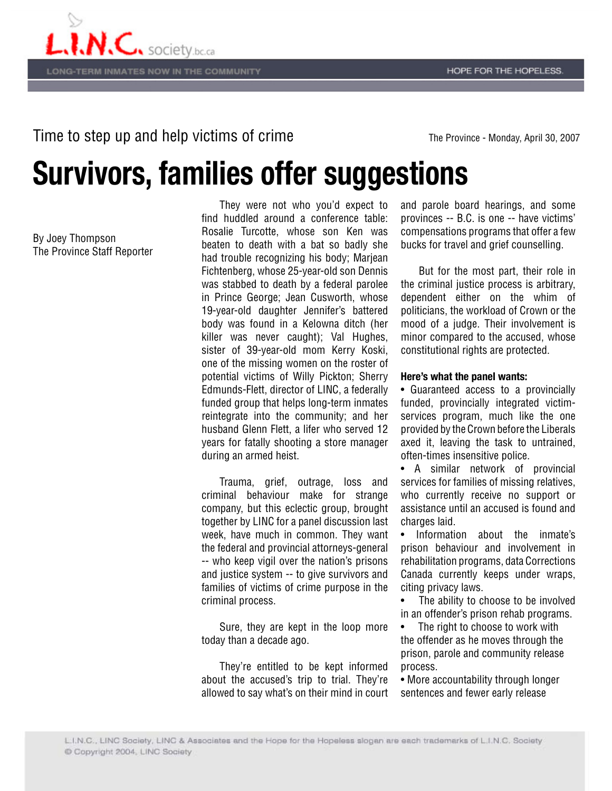## Time to step up and help victims of crime **The Province - Monday, April 30, 2007**

## **Survivors, families offer suggestions**

By Joey Thompson The Province Staff Reporter

 They were not who you'd expect to find huddled around a conference table: Rosalie Turcotte, whose son Ken was beaten to death with a bat so badly she had trouble recognizing his body; Marjean Fichtenberg, whose 25-year-old son Dennis was stabbed to death by a federal parolee in Prince George; Jean Cusworth, whose 19-year-old daughter Jennifer's battered body was found in a Kelowna ditch (her killer was never caught); Val Hughes, sister of 39-year-old mom Kerry Koski, one of the missing women on the roster of potential victims of Willy Pickton; Sherry Edmunds-Flett, director of LINC, a federally funded group that helps long-term inmates reintegrate into the community; and her husband Glenn Flett, a lifer who served 12 years for fatally shooting a store manager during an armed heist.

 Trauma, grief, outrage, loss and criminal behaviour make for strange company, but this eclectic group, brought together by LINC for a panel discussion last week, have much in common. They want the federal and provincial attorneys-general -- who keep vigil over the nation's prisons and justice system -- to give survivors and families of victims of crime purpose in the criminal process.

 Sure, they are kept in the loop more today than a decade ago.

 They're entitled to be kept informed about the accused's trip to trial. They're allowed to say what's on their mind in court and parole board hearings, and some provinces -- B.C. is one -- have victims' compensations programs that offer a few bucks for travel and grief counselling.

 But for the most part, their role in the criminal justice process is arbitrary, dependent either on the whim of politicians, the workload of Crown or the mood of a judge. Their involvement is minor compared to the accused, whose constitutional rights are protected.

## **Here's what the panel wants:**

• Guaranteed access to a provincially funded, provincially integrated victimservices program, much like the one provided by the Crown before the Liberals axed it, leaving the task to untrained, often-times insensitive police.

• A similar network of provincial services for families of missing relatives, who currently receive no support or assistance until an accused is found and charges laid.

• Information about the inmate's prison behaviour and involvement in rehabilitation programs, data Corrections Canada currently keeps under wraps, citing privacy laws.

The ability to choose to be involved in an offender's prison rehab programs.

The right to choose to work with the offender as he moves through the prison, parole and community release process.

• More accountability through longer sentences and fewer early release